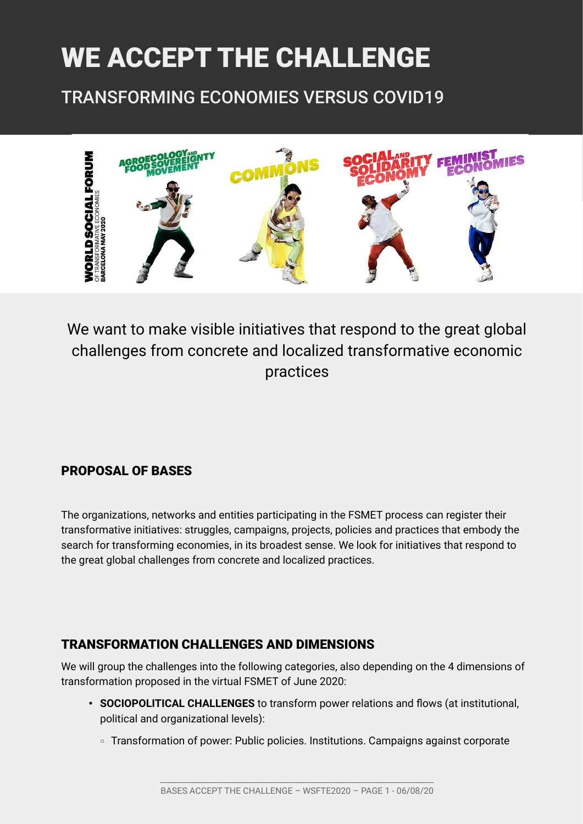# WE ACCEPT THE CHALLENGE

TRANSFORMING ECONOMIES VERSUS COVID19



We want to make visible initiatives that respond to the great global challenges from concrete and localized transformative economic practices

## PROPOSAL OF BASES

The organizations, networks and entities participating in the FSMET process can register their transformative initiatives: struggles, campaigns, projects, policies and practices that embody the search for transforming economies, in its broadest sense. We look for initiatives that respond to the great global challenges from concrete and localized practices.

## TRANSFORMATION CHALLENGES AND DIMENSIONS

We will group the challenges into the following categories, also depending on the 4 dimensions of transformation proposed in the virtual FSMET of June 2020:

- **SOCIOPOLITICAL CHALLENGES** to transform power relations and flows (at institutional, political and organizational levels):
	- ∘ Transformation of power: Public policies. Institutions. Campaigns against corporate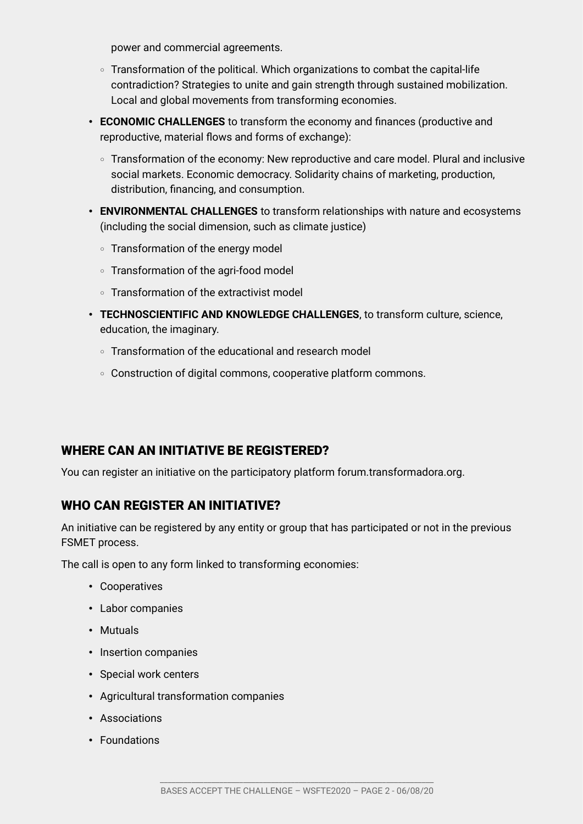power and commercial agreements.

- ∘ Transformation of the political. Which organizations to combat the capital-life contradiction? Strategies to unite and gain strength through sustained mobilization. Local and global movements from transforming economies.
- **ECONOMIC CHALLENGES** to transform the economy and finances (productive and reproductive, material flows and forms of exchange):
	- ∘ Transformation of the economy: New reproductive and care model. Plural and inclusive social markets. Economic democracy. Solidarity chains of marketing, production, distribution, financing, and consumption.
- **ENVIRONMENTAL CHALLENGES** to transform relationships with nature and ecosystems (including the social dimension, such as climate justice)
	- ∘ Transformation of the energy model
	- ∘ Transformation of the agri-food model
	- ∘ Transformation of the extractivist model
- **TECHNOSCIENTIFIC AND KNOWLEDGE CHALLENGES**, to transform culture, science, education, the imaginary.
	- ∘ Transformation of the educational and research model
	- ∘ Construction of digital commons, cooperative platform commons.

#### WHERE CAN AN INITIATIVE BE REGISTERED?

You can register an initiative on the participatory platform forum.transformadora.org.

#### WHO CAN REGISTER AN INITIATIVE?

An initiative can be registered by any entity or group that has participated or not in the previous FSMET process.

The call is open to any form linked to transforming economies:

- Cooperatives
- Labor companies
- Mutuals
- Insertion companies
- Special work centers
- Agricultural transformation companies
- Associations
- Foundations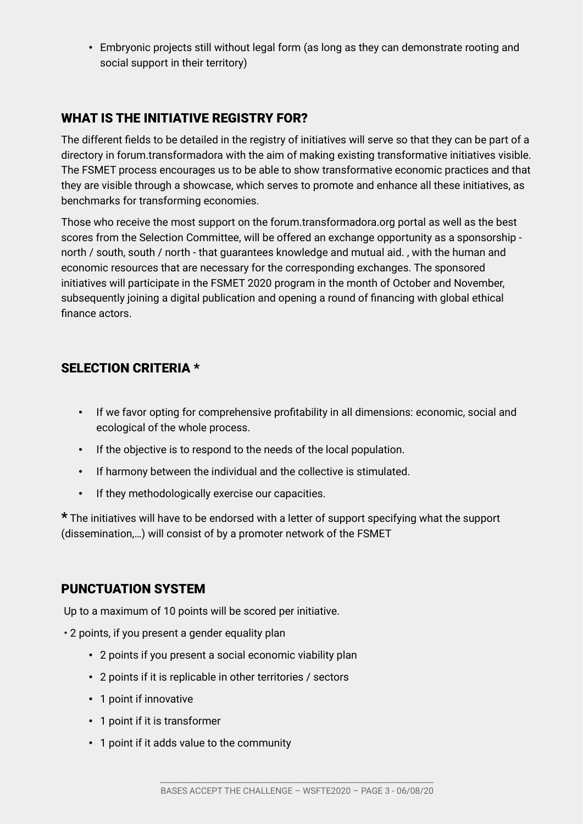• Embryonic projects still without legal form (as long as they can demonstrate rooting and social support in their territory)

## WHAT IS THE INITIATIVE REGISTRY FOR?

The different fields to be detailed in the registry of initiatives will serve so that they can be part of a directory in forum.transformadora with the aim of making existing transformative initiatives visible. The FSMET process encourages us to be able to show transformative economic practices and that they are visible through a showcase, which serves to promote and enhance all these initiatives, as benchmarks for transforming economies.

Those who receive the most support on the forum.transformadora.org portal as well as the best scores from the Selection Committee, will be offered an exchange opportunity as a sponsorship north / south, south / north - that guarantees knowledge and mutual aid. , with the human and economic resources that are necessary for the corresponding exchanges. The sponsored initiatives will participate in the FSMET 2020 program in the month of October and November, subsequently joining a digital publication and opening a round of financing with global ethical finance actors.

## SELECTION CRITERIA \*

- If we favor opting for comprehensive profitability in all dimensions: economic, social and ecological of the whole process.
- If the objective is to respond to the needs of the local population.
- If harmony between the individual and the collective is stimulated.
- If they methodologically exercise our capacities.

\* The initiatives will have to be endorsed with a letter of support specifying what the support (dissemination,…) will consist of by a promoter network of the FSMET

#### PUNCTUATION SYSTEM

Up to a maximum of 10 points will be scored per initiative.

- 2 points, if you present a gender equality plan
	- 2 points if you present a social economic viability plan
	- 2 points if it is replicable in other territories / sectors
	- 1 point if innovative
	- 1 point if it is transformer
	- 1 point if it adds value to the community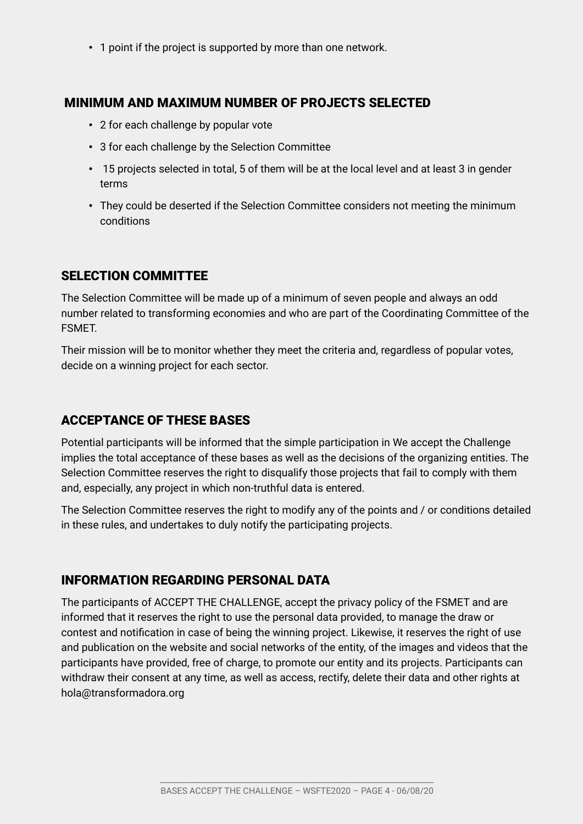• 1 point if the project is supported by more than one network.

#### MINIMUM AND MAXIMUM NUMBER OF PROJECTS SELECTED

- 2 for each challenge by popular vote
- 3 for each challenge by the Selection Committee
- 15 projects selected in total, 5 of them will be at the local level and at least 3 in gender terms
- They could be deserted if the Selection Committee considers not meeting the minimum conditions

#### SELECTION COMMITTEE

The Selection Committee will be made up of a minimum of seven people and always an odd number related to transforming economies and who are part of the Coordinating Committee of the FSMET.

Their mission will be to monitor whether they meet the criteria and, regardless of popular votes, decide on a winning project for each sector.

#### ACCEPTANCE OF THESE BASES

Potential participants will be informed that the simple participation in We accept the Challenge implies the total acceptance of these bases as well as the decisions of the organizing entities. The Selection Committee reserves the right to disqualify those projects that fail to comply with them and, especially, any project in which non-truthful data is entered.

The Selection Committee reserves the right to modify any of the points and / or conditions detailed in these rules, and undertakes to duly notify the participating projects.

#### INFORMATION REGARDING PERSONAL DATA

The participants of ACCEPT THE CHALLENGE, accept the privacy policy of the FSMET and are informed that it reserves the right to use the personal data provided, to manage the draw or contest and notification in case of being the winning project. Likewise, it reserves the right of use and publication on the website and social networks of the entity, of the images and videos that the participants have provided, free of charge, to promote our entity and its projects. Participants can withdraw their consent at any time, as well as access, rectify, delete their data and other rights at hola@transformadora.org